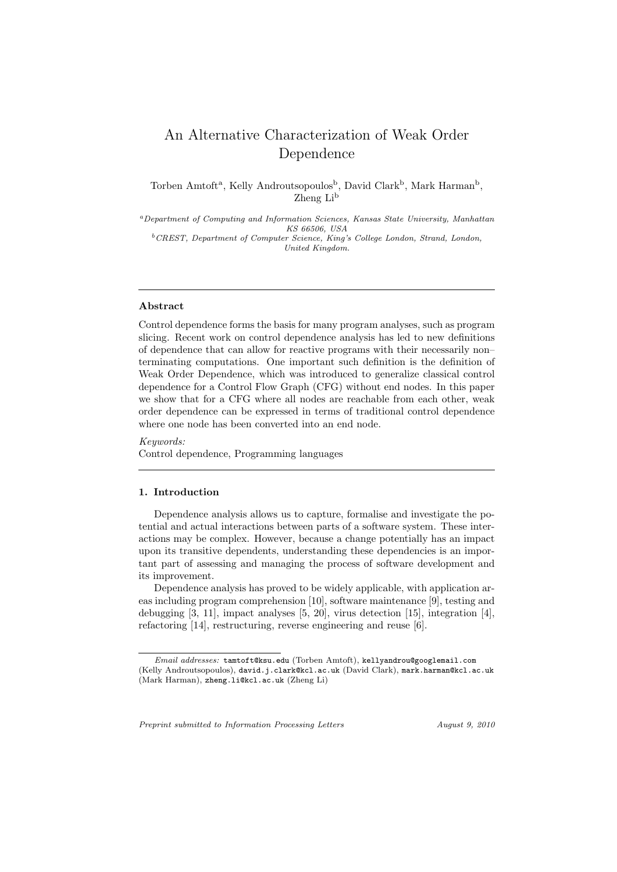# An Alternative Characterization of Weak Order Dependence

Torben Amtoft<sup>a</sup>, Kelly Androutsopoulos<sup>b</sup>, David Clark<sup>b</sup>, Mark Harman<sup>b</sup>, Zheng Li<sup>b</sup>

*<sup>a</sup>Department of Computing and Information Sciences, Kansas State University, Manhattan KS 66506, USA <sup>b</sup>CREST, Department of Computer Science, King's College London, Strand, London, United Kingdom.*

## **Abstract**

Control dependence forms the basis for many program analyses, such as program slicing. Recent work on control dependence analysis has led to new definitions of dependence that can allow for reactive programs with their necessarily non– terminating computations. One important such definition is the definition of Weak Order Dependence, which was introduced to generalize classical control dependence for a Control Flow Graph (CFG) without end nodes. In this paper we show that for a CFG where all nodes are reachable from each other, weak order dependence can be expressed in terms of traditional control dependence where one node has been converted into an end node.

*Keywords:* Control dependence, Programming languages

# **1. Introduction**

Dependence analysis allows us to capture, formalise and investigate the potential and actual interactions between parts of a software system. These interactions may be complex. However, because a change potentially has an impact upon its transitive dependents, understanding these dependencies is an important part of assessing and managing the process of software development and its improvement.

Dependence analysis has proved to be widely applicable, with application areas including program comprehension [10], software maintenance [9], testing and debugging [3, 11], impact analyses [5, 20], virus detection [15], integration [4], refactoring [14], restructuring, reverse engineering and reuse [6].

*Preprint submitted to Information Processing Letters August 9, 2010*

*Email addresses:* tamtoft@ksu.edu (Torben Amtoft), kellyandrou@googlemail.com (Kelly Androutsopoulos), david.j.clark@kcl.ac.uk (David Clark), mark.harman@kcl.ac.uk (Mark Harman), zheng.li@kcl.ac.uk (Zheng Li)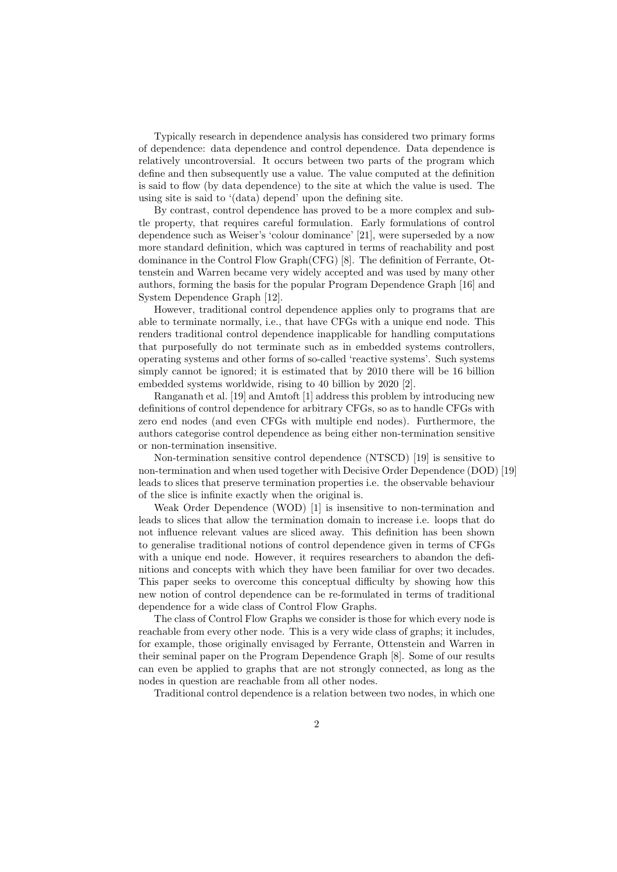Typically research in dependence analysis has considered two primary forms of dependence: data dependence and control dependence. Data dependence is relatively uncontroversial. It occurs between two parts of the program which define and then subsequently use a value. The value computed at the definition is said to flow (by data dependence) to the site at which the value is used. The using site is said to '(data) depend' upon the defining site.

By contrast, control dependence has proved to be a more complex and subtle property, that requires careful formulation. Early formulations of control dependence such as Weiser's 'colour dominance' [21], were superseded by a now more standard definition, which was captured in terms of reachability and post dominance in the Control Flow Graph(CFG) [8]. The definition of Ferrante, Ottenstein and Warren became very widely accepted and was used by many other authors, forming the basis for the popular Program Dependence Graph [16] and System Dependence Graph [12].

However, traditional control dependence applies only to programs that are able to terminate normally, i.e., that have CFGs with a unique end node. This renders traditional control dependence inapplicable for handling computations that purposefully do not terminate such as in embedded systems controllers, operating systems and other forms of so-called 'reactive systems'. Such systems simply cannot be ignored; it is estimated that by 2010 there will be 16 billion embedded systems worldwide, rising to 40 billion by 2020 [2].

Ranganath et al. [19] and Amtoft [1] address this problem by introducing new definitions of control dependence for arbitrary CFGs, so as to handle CFGs with zero end nodes (and even CFGs with multiple end nodes). Furthermore, the authors categorise control dependence as being either non-termination sensitive or non-termination insensitive.

Non-termination sensitive control dependence (NTSCD) [19] is sensitive to non-termination and when used together with Decisive Order Dependence (DOD) [19] leads to slices that preserve termination properties i.e. the observable behaviour of the slice is infinite exactly when the original is.

Weak Order Dependence (WOD) [1] is insensitive to non-termination and leads to slices that allow the termination domain to increase i.e. loops that do not influence relevant values are sliced away. This definition has been shown to generalise traditional notions of control dependence given in terms of CFGs with a unique end node. However, it requires researchers to abandon the definitions and concepts with which they have been familiar for over two decades. This paper seeks to overcome this conceptual difficulty by showing how this new notion of control dependence can be re-formulated in terms of traditional dependence for a wide class of Control Flow Graphs.

The class of Control Flow Graphs we consider is those for which every node is reachable from every other node. This is a very wide class of graphs; it includes, for example, those originally envisaged by Ferrante, Ottenstein and Warren in their seminal paper on the Program Dependence Graph [8]. Some of our results can even be applied to graphs that are not strongly connected, as long as the nodes in question are reachable from all other nodes.

Traditional control dependence is a relation between two nodes, in which one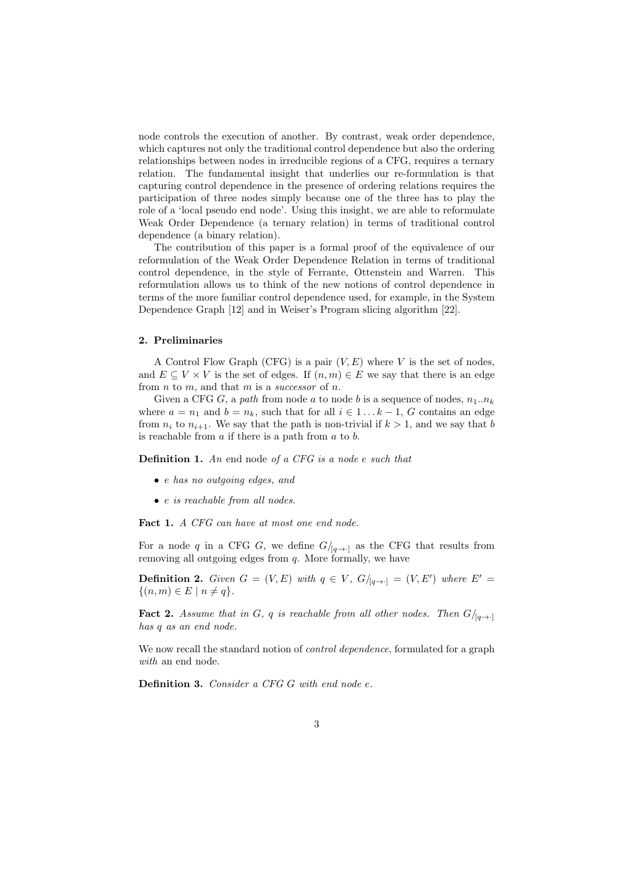node controls the execution of another. By contrast, weak order dependence, which captures not only the traditional control dependence but also the ordering relationships between nodes in irreducible regions of a CFG, requires a ternary relation. The fundamental insight that underlies our re-formulation is that capturing control dependence in the presence of ordering relations requires the participation of three nodes simply because one of the three has to play the role of a 'local pseudo end node'. Using this insight, we are able to reformulate Weak Order Dependence (a ternary relation) in terms of traditional control dependence (a binary relation).

The contribution of this paper is a formal proof of the equivalence of our reformulation of the Weak Order Dependence Relation in terms of traditional control dependence, in the style of Ferrante, Ottenstein and Warren. This reformulation allows us to think of the new notions of control dependence in terms of the more familiar control dependence used, for example, in the System Dependence Graph [12] and in Weiser's Program slicing algorithm [22].

## **2. Preliminaries**

A Control Flow Graph (CFG) is a pair (*V, E*) where *V* is the set of nodes, and  $E \subseteq V \times V$  is the set of edges. If  $(n, m) \in E$  we say that there is an edge from *n* to *m*, and that *m* is a *successor* of *n*.

Given a CFG G, a *path* from node a to node b is a sequence of nodes,  $n_1 \dots n_k$ where  $a = n_1$  and  $b = n_k$ , such that for all  $i \in 1 \ldots k-1$ , *G* contains an edge from  $n_i$  to  $n_{i+1}$ . We say that the path is non-trivial if  $k > 1$ , and we say that *b* is reachable from *a* if there is a path from *a* to *b*.

**Definition 1.** *An* end node *of a CFG is a node e such that*

- *• e has no outgoing edges, and*
- *• e is reachable from all nodes.*

**Fact 1.** *A CFG can have at most one end node.*

For a node *q* in a CFG *G*, we define  $G/_{[q\rightarrow\cdot]}$  as the CFG that results from removing all outgoing edges from *q*. More formally, we have

**Definition 2.** *Given*  $G = (V, E)$  *with*  $q \in V$ ,  $G/_{[q \rightarrow \cdot]} = (V, E')$  *where*  $E' =$  $\{(n,m) \in E \mid n \neq q\}.$ 

**Fact 2.** *Assume that in G*, *q is reachable from all other nodes. Then*  $G/_{[q \to \cdot]}$ *has q as an end node.*

We now recall the standard notion of *control dependence*, formulated for a graph *with* an end node.

**Definition 3.** *Consider a CFG G with end node e.*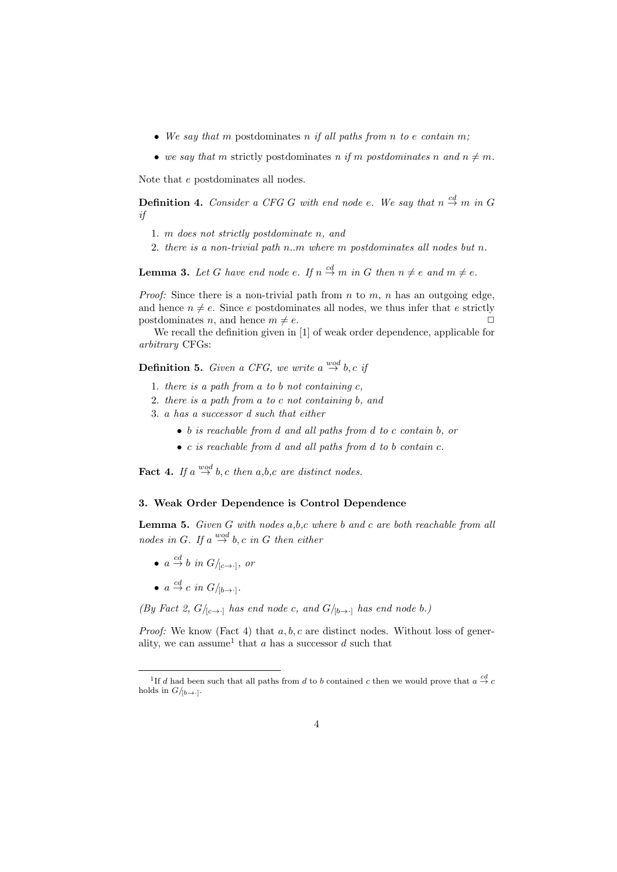- *• We say that m* postdominates *n if all paths from n to e contain m;*
- we say that m strictly postdominates *n* if *m* postdominates *n* and  $n \neq m$ .

Note that *e* postdominates all nodes.

**Definition 4.** Consider a CFG G with end node e. We say that  $n \stackrel{cd}{\rightarrow} m$  in G *if*

- 1. *m does not strictly postdominate n, and*
- 2. *there is a non-trivial path n..m where m postdominates all nodes but n.*

**Lemma 3.** Let G have end node  $e$ . If  $n \stackrel{cd}{\to} m$  in G then  $n \neq e$  and  $m \neq e$ .

*Proof:* Since there is a non-trivial path from *n* to *m*, *n* has an outgoing edge, and hence  $n \neq e$ . Since *e* postdominates all nodes, we thus infer that *e* strictly postdominates *n*, and hence  $m \neq e$ .

We recall the definition given in [1] of weak order dependence, applicable for *arbitrary* CFGs:

**Definition 5.** *Given a CFG, we write*  $a \stackrel{wod}{\rightarrow} b, c$  *if* 

- 1. *there is a path from a to b not containing c,*
- 2. *there is a path from a to c not containing b, and*
- 3. *a has a successor d such that either*
	- *• b is reachable from d and all paths from d to c contain b, or*
	- *• c is reachable from d and all paths from d to b contain c.*

**Fact 4.** If  $a \stackrel{wod}{\rightarrow} b$ , c then  $a,b,c$  are distinct nodes.

# **3. Weak Order Dependence is Control Dependence**

**Lemma 5.** *Given G with nodes a,b,c where b and c are both reachable from all nodes in G. If*  $a \stackrel{wod}{\rightarrow} b$ *, c in G then either* 

- $a \stackrel{cd}{\to} b$  *in*  $G/_{[c \to \cdot]},$  *or*
- $a \stackrel{cd}{\rightarrow} c$  *in*  $G/_{[b\rightarrow \cdot]}$ .

*(By Fact 2, G/*<sub>[*c* $\rightarrow$ ·]</sub> *has end node c, and G/*<sub>[*b* $\rightarrow$ ·]</sub> *has end node b.*)

*Proof:* We know (Fact 4) that *a, b, c* are distinct nodes. Without loss of generality, we can assume<sup>1</sup> that  $a$  has a successor  $d$  such that

<sup>&</sup>lt;sup>1</sup>If *d* had been such that all paths from *d* to *b* contained *c* then we would prove that  $a \stackrel{cd}{\rightarrow} c$ holds in  $G/_{[b\rightarrow \cdot]}$ .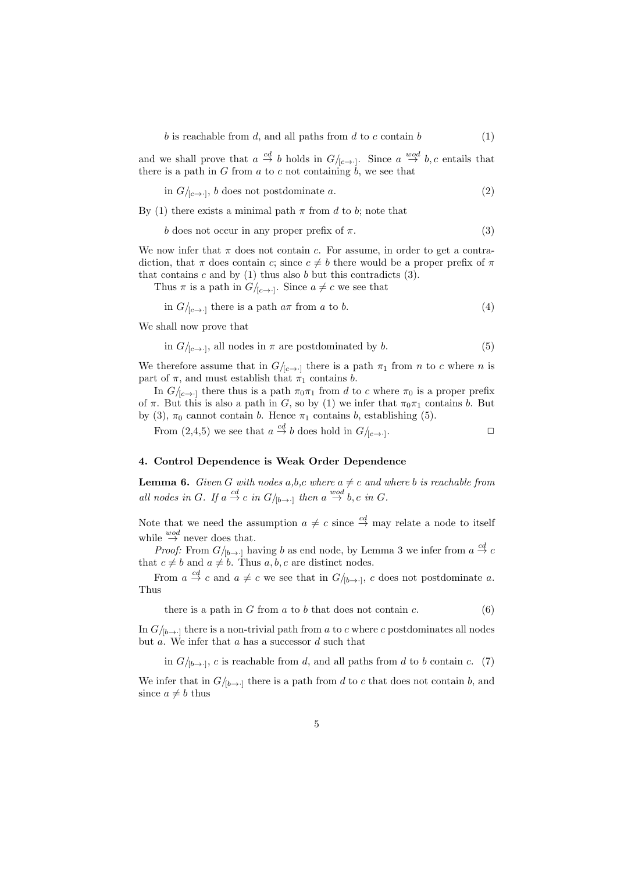*b* is reachable from *d*, and all paths from *d* to *c* contain *b* (1)

and we shall prove that  $a \stackrel{cd}{\to} b$  holds in  $G/_{[c \to \cdot]}$ . Since  $a \stackrel{wod}{\to} b, c$  entails that there is a path in *G* from *a* to *c* not containing  $\dot{b}$ , we see that

in 
$$
G/_{[c\rightarrow \cdot]}
$$
, *b* does not postdominate *a*. (2)

By (1) there exists a minimal path  $\pi$  from *d* to *b*; note that

$$
b \text{ does not occur in any proper prefix of } \pi. \tag{3}
$$

We now infer that  $\pi$  does not contain *c*. For assume, in order to get a contradiction, that  $\pi$  does contain *c*; since  $c \neq b$  there would be a proper prefix of  $\pi$ that contains  $c$  and by  $(1)$  thus also  $b$  but this contradicts  $(3)$ .

Thus  $\pi$  is a path in  $G/_{[c\rightarrow \cdot]}$ . Since  $a \neq c$  we see that

in 
$$
G/_{[c \to \cdot]}
$$
 there is a path  $a\pi$  from a to b. (4)

We shall now prove that

in 
$$
G/_{[c\rightarrow\cdot]}
$$
, all nodes in  $\pi$  are postdominated by b. (5)

We therefore assume that in  $G/_{[c\rightarrow\cdot]}$  there is a path  $\pi_1$  from *n* to *c* where *n* is part of  $\pi$ , and must establish that  $\pi_1$  contains *b*.

In  $G/_{[c\rightarrow c]}$  there thus is a path  $\pi_0\pi_1$  from *d* to *c* where  $\pi_0$  is a proper prefix of  $\pi$ . But this is also a path in *G*, so by (1) we infer that  $\pi_0 \pi_1$  contains *b*. But by (3),  $\pi_0$  cannot contain *b*. Hence  $\pi_1$  contains *b*, establishing (5).

From (2,4,5) we see that  $a \stackrel{cd}{\to} b$  does hold in  $G/_{[c \to \cdot]}$ . *✷*

#### **4. Control Dependence is Weak Order Dependence**

**Lemma 6.** *Given G with nodes*  $a,b,c$  *where*  $a \neq c$  *and where b is reachable from all nodes in G. If*  $a \stackrel{cd}{\rightarrow} c$  *in*  $G/_{[b \rightarrow \cdot]}$  *then*  $a \stackrel{wod}{\rightarrow} b, c$  *in G.* 

Note that we need the assumption  $a \neq c$  since  $\stackrel{cd}{\rightarrow}$  may relate a node to itself while  $\stackrel{wod}{\rightarrow}$  never does that.

*Proof:* From  $G/_{[b\rightarrow \cdot]}$  having *b* as end node, by Lemma 3 we infer from  $a \stackrel{cd}{\rightarrow} c$ that  $c \neq b$  and  $a \neq b$ . Thus  $a, b, c$  are distinct nodes.

From  $a \stackrel{cd}{\to} c$  and  $a \neq c$  we see that in  $G/_{[b\to\cdot]}$ , *c* does not postdominate *a*. Thus

there is a path in *G* from *a* to *b* that does not contain *c*.  $(6)$ 

In  $G/_{b\rightarrow b}$  there is a non-trivial path from *a* to *c* where *c* postdominates all nodes but *a*. We infer that *a* has a successor *d* such that

in  $G/_{[b\rightarrow\cdot]}$ , *c* is reachable from *d*, and all paths from *d* to *b* contain *c*. (7)

We infer that in  $G/_{b\rightarrow 1}$  there is a path from *d* to *c* that does not contain *b*, and since  $a \neq b$  thus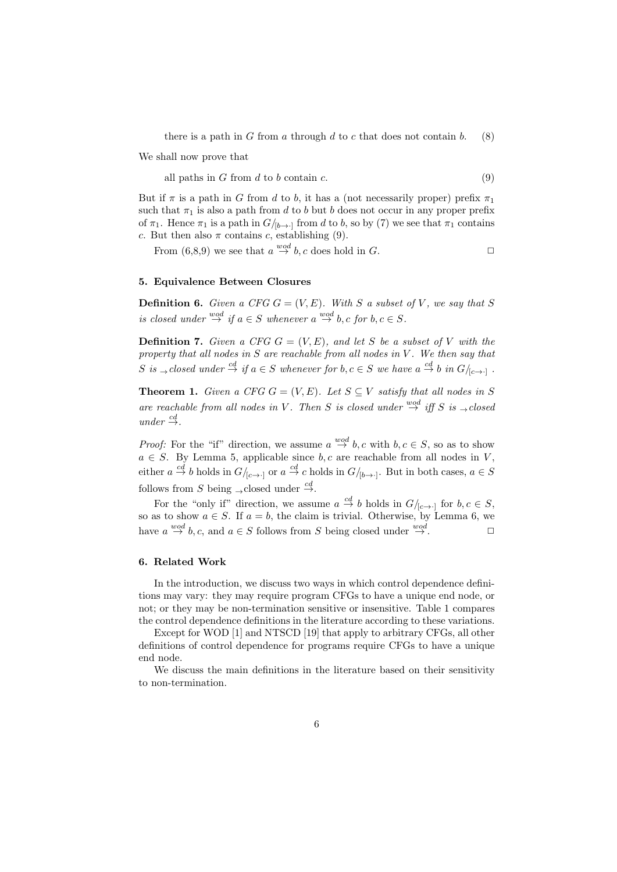there is a path in *G* from *a* through *d* to *c* that does not contain *b*. (8)

We shall now prove that

all paths in *G* from *d* to *b* contain *c*. (9)

But if  $\pi$  is a path in *G* from *d* to *b*, it has a (not necessarily proper) prefix  $\pi_1$ such that  $\pi_1$  is also a path from *d* to *b* but *b* does not occur in any proper prefix of  $\pi_1$ . Hence  $\pi_1$  is a path in  $G/_{[b\rightarrow \cdot]}$  from *d* to *b*, so by (7) we see that  $\pi_1$  contains *c*. But then also  $\pi$  contains *c*, establishing (9).

From  $(6,8,9)$  we see that  $a \stackrel{wod}{\rightarrow} b, c$  does hold in *G*.

## **5. Equivalence Between Closures**

**Definition 6.** *Given a CFG*  $G = (V, E)$ *. With*  $S$  *a subset of*  $V$ *, we say that*  $S$ *is closed under*  $\overset{wod}{\rightarrow}$  *if*  $a \in S$  *whenever*  $a \overset{wod}{\rightarrow} b, c$  *for*  $b, c \in S$ *.* 

**Definition 7.** *Given a CFG*  $G = (V, E)$ *, and let S be a subset of V with the property that all nodes in S are reachable from all nodes in V . We then say that*  $S$  is  $\rightarrow$  closed under  $\stackrel{cd}{\rightarrow}$  if  $a \in S$  whenever for  $b, c \in S$  we have  $a \stackrel{cd}{\rightarrow} b$  in  $G/_{[c \rightarrow \cdot]}$ .

**Theorem 1.** *Given a CFG*  $G = (V, E)$ *. Let*  $S \subseteq V$  *satisfy that all nodes in S are reachable from all nodes in V*. Then *S* is closed under  $\overset{wod}{\rightarrow}$  *iff S is*  $\rightarrow$  *closed*  $under \overset{cd}{\rightarrow}$ .

*Proof:* For the "if" direction, we assume  $a \stackrel{wod}{\rightarrow} b, c$  with  $b, c \in S$ , so as to show  $a \in S$ . By Lemma 5, applicable since  $b, c$  are reachable from all nodes in *V*, either  $a \stackrel{cd}{\to} b$  holds in  $G/_{[c \to \cdot]}$  or  $a \stackrel{cd}{\to} c$  holds in  $G/_{[b \to \cdot]}$ . But in both cases,  $a \in S$ follows from *S* being <sub>→</sub> closed under  $\stackrel{cd}{\rightarrow}$ .

For the "only if" direction, we assume  $a \stackrel{cd}{\to} b$  holds in  $G/_{[c \to \cdot]}$  for  $b, c \in S$ , so as to show  $a \in S$ . If  $a = b$ , the claim is trivial. Otherwise, by Lemma 6, we have  $a \stackrel{wod}{\rightarrow} b, c$ , and  $a \in S$  follows from *S* being closed under  $\stackrel{wod}{\rightarrow}$ .

#### **6. Related Work**

In the introduction, we discuss two ways in which control dependence definitions may vary: they may require program CFGs to have a unique end node, or not; or they may be non-termination sensitive or insensitive. Table 1 compares the control dependence definitions in the literature according to these variations.

Except for WOD [1] and NTSCD [19] that apply to arbitrary CFGs, all other definitions of control dependence for programs require CFGs to have a unique end node.

We discuss the main definitions in the literature based on their sensitivity to non-termination.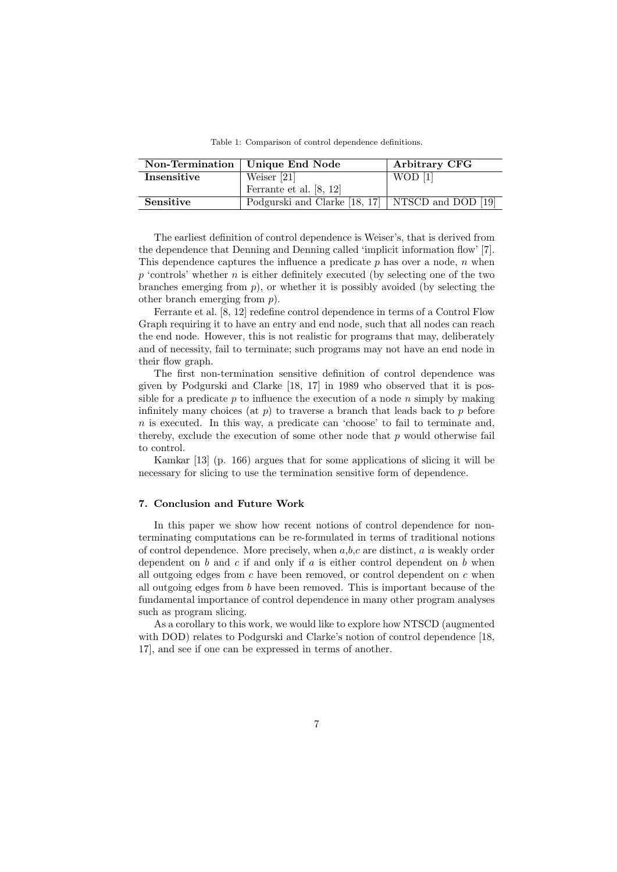|             | Non-Termination   Unique End Node                  | Arbitrary CFG |
|-------------|----------------------------------------------------|---------------|
| Insensitive | Weiser $[21]$                                      | $WOD$ [1]     |
|             | Ferrante et al. [8, 12]                            |               |
| Sensitive   | Podgurski and Clarke [18, 17]   NTSCD and DOD [19] |               |

Table 1: Comparison of control dependence definitions.

The earliest definition of control dependence is Weiser's, that is derived from the dependence that Denning and Denning called 'implicit information flow' [7]. This dependence captures the influence a predicate *p* has over a node, *n* when *p* 'controls' whether *n* is either definitely executed (by selecting one of the two branches emerging from  $p$ ), or whether it is possibly avoided (by selecting the other branch emerging from *p*).

Ferrante et al. [8, 12] redefine control dependence in terms of a Control Flow Graph requiring it to have an entry and end node, such that all nodes can reach the end node. However, this is not realistic for programs that may, deliberately and of necessity, fail to terminate; such programs may not have an end node in their flow graph.

The first non-termination sensitive definition of control dependence was given by Podgurski and Clarke [18, 17] in 1989 who observed that it is possible for a predicate *p* to influence the execution of a node *n* simply by making infinitely many choices (at  $p$ ) to traverse a branch that leads back to  $p$  before *n* is executed. In this way, a predicate can 'choose' to fail to terminate and, thereby, exclude the execution of some other node that *p* would otherwise fail to control.

Kamkar [13] (p. 166) argues that for some applications of slicing it will be necessary for slicing to use the termination sensitive form of dependence.

## **7. Conclusion and Future Work**

In this paper we show how recent notions of control dependence for nonterminating computations can be re-formulated in terms of traditional notions of control dependence. More precisely, when *a*,*b*,*c* are distinct, *a* is weakly order dependent on *b* and *c* if and only if *a* is either control dependent on *b* when all outgoing edges from *c* have been removed, or control dependent on *c* when all outgoing edges from *b* have been removed. This is important because of the fundamental importance of control dependence in many other program analyses such as program slicing.

As a corollary to this work, we would like to explore how NTSCD (augmented with DOD) relates to Podgurski and Clarke's notion of control dependence [18, 17], and see if one can be expressed in terms of another.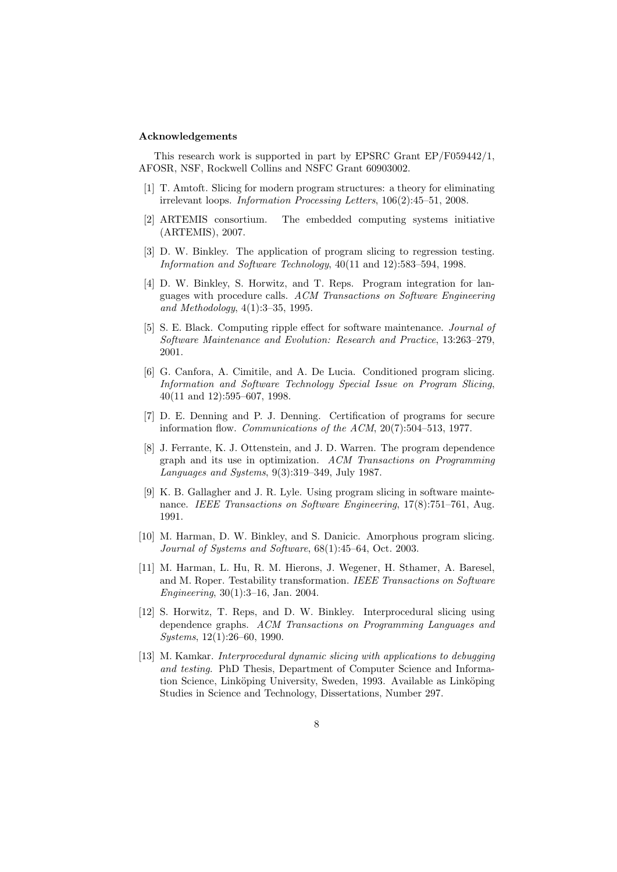#### **Acknowledgements**

This research work is supported in part by EPSRC Grant EP/F059442/1, AFOSR, NSF, Rockwell Collins and NSFC Grant 60903002.

- [1] T. Amtoft. Slicing for modern program structures: a theory for eliminating irrelevant loops. *Information Processing Letters*, 106(2):45–51, 2008.
- [2] ARTEMIS consortium. The embedded computing systems initiative (ARTEMIS), 2007.
- [3] D. W. Binkley. The application of program slicing to regression testing. *Information and Software Technology*, 40(11 and 12):583–594, 1998.
- [4] D. W. Binkley, S. Horwitz, and T. Reps. Program integration for languages with procedure calls. *ACM Transactions on Software Engineering and Methodology*, 4(1):3–35, 1995.
- [5] S. E. Black. Computing ripple effect for software maintenance. *Journal of Software Maintenance and Evolution: Research and Practice*, 13:263–279, 2001.
- [6] G. Canfora, A. Cimitile, and A. De Lucia. Conditioned program slicing. *Information and Software Technology Special Issue on Program Slicing*, 40(11 and 12):595–607, 1998.
- [7] D. E. Denning and P. J. Denning. Certification of programs for secure information flow. *Communications of the ACM*, 20(7):504–513, 1977.
- [8] J. Ferrante, K. J. Ottenstein, and J. D. Warren. The program dependence graph and its use in optimization. *ACM Transactions on Programming Languages and Systems*, 9(3):319–349, July 1987.
- [9] K. B. Gallagher and J. R. Lyle. Using program slicing in software maintenance. *IEEE Transactions on Software Engineering*, 17(8):751–761, Aug. 1991.
- [10] M. Harman, D. W. Binkley, and S. Danicic. Amorphous program slicing. *Journal of Systems and Software*, 68(1):45–64, Oct. 2003.
- [11] M. Harman, L. Hu, R. M. Hierons, J. Wegener, H. Sthamer, A. Baresel, and M. Roper. Testability transformation. *IEEE Transactions on Software Engineering*, 30(1):3–16, Jan. 2004.
- [12] S. Horwitz, T. Reps, and D. W. Binkley. Interprocedural slicing using dependence graphs. *ACM Transactions on Programming Languages and Systems*, 12(1):26–60, 1990.
- [13] M. Kamkar. *Interprocedural dynamic slicing with applications to debugging and testing*. PhD Thesis, Department of Computer Science and Information Science, Linköping University, Sweden, 1993. Available as Linköping Studies in Science and Technology, Dissertations, Number 297.